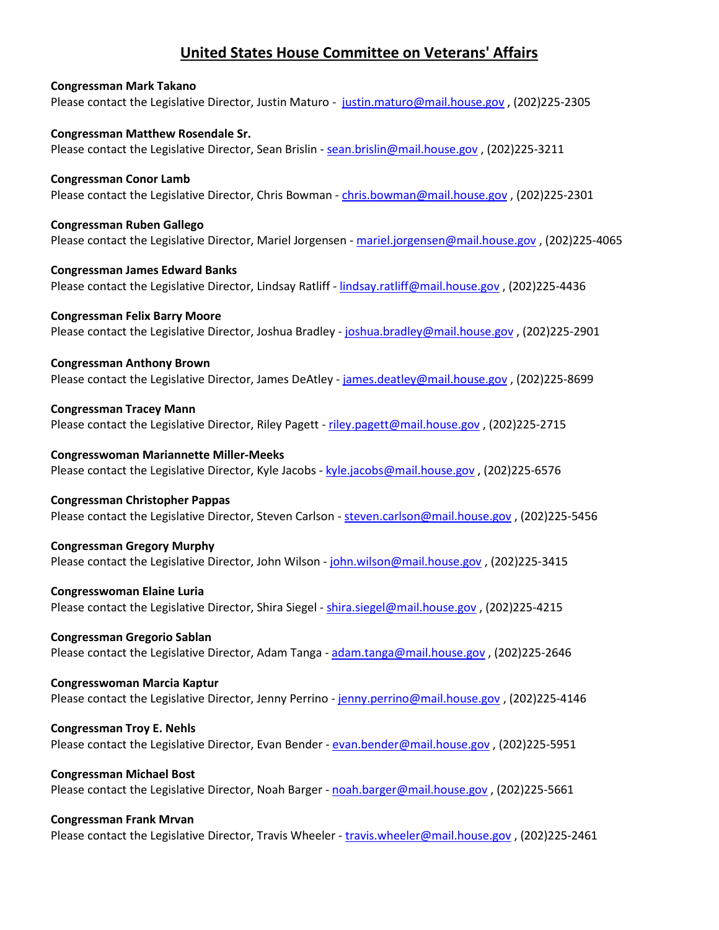## **United States House Committee on Veterans' Affairs**

## **Congressman Mark Takano** Please contact the Legislative Director, Justin Maturo - [justin.maturo@mail.house.gov](mailto:justin.maturo@mail.house.gov) , (202)225-2305 **Congressman Matthew Rosendale Sr.** Please contact the Legislative Director, Sean Brislin [- sean.brislin@mail.house.gov](mailto:sean.brislin@mail.house.gov) , (202)225-3211 **Congressman Conor Lamb** Please contact the Legislative Director, Chris Bowman - [chris.bowman@mail.house.gov](mailto:chris.bowman@mail.house.gov) , (202)225-2301 **Congressman Ruben Gallego** Please contact the Legislative Director, Mariel Jorgensen [- mariel.jorgensen@mail.house.gov](mailto:mariel.jorgensen@mail.house.gov) , (202)225-4065 **Congressman James Edward Banks** Please contact the Legislative Director, Lindsay Ratliff - [lindsay.ratliff@mail.house.gov](mailto:lindsay.ratliff@mail.house.gov), (202)225-4436 **Congressman Felix Barry Moore**  Please contact the Legislative Director, Joshua Bradley - [joshua.bradley@mail.house.gov](mailto:joshua.bradley@mail.house.gov) , (202)225-2901 **Congressman Anthony Brown**  Please contact the Legislative Director, James DeAtley - [james.deatley@mail.house.gov](mailto:james.deatley@mail.house.gov) , (202)225-8699 **Congressman Tracey Mann**  Please contact the Legislative Director, Riley Pagett - [riley.pagett@mail.house.gov](mailto:riley.pagett@mail.house.gov), (202)225-2715 **Congresswoman Mariannette Miller-Meeks** Please contact the Legislative Director, Kyle Jacobs [- kyle.jacobs@mail.house.gov](mailto:kyle.jacobs@mail.house.gov), (202)225-6576 **Congressman Christopher Pappas** Please contact the Legislative Director, Steven Carlson - [steven.carlson@mail.house.gov](mailto:steven.carlson@mail.house.gov), (202)225-5456 **Congressman Gregory Murphy** Please contact the Legislative Director, John Wilson - [john.wilson@mail.house.gov](mailto:john.wilson@mail.house.gov), (202)225-3415 **Congresswoman Elaine Luria** Please contact the Legislative Director, Shira Siegel - [shira.siegel@mail.house.gov](mailto:shira.siegel@mail.house.gov), (202)225-4215 **Congressman Gregorio Sablan** Please contact the Legislative Director, Adam Tanga [- adam.tanga@mail.house.gov](mailto:adam.tanga@mail.house.gov) , (202)225-2646 **Congresswoman Marcia Kaptur** Please contact the Legislative Director, Jenny Perrino - [jenny.perrino@mail.house.gov](mailto:jenny.perrino@mail.house.gov) , (202)225-4146

**Congressman Troy E. Nehls** Please contact the Legislative Director, Evan Bender - [evan.bender@mail.house.gov](mailto:evan.bender@mail.house.gov) , (202)225-5951

**Congressman Michael Bost** Please contact the Legislative Director, Noah Barger - [noah.barger@mail.house.gov](mailto:noah.barger@mail.house.gov) , (202)225-5661

## **Congressman Frank Mrvan**

Please contact the Legislative Director, Travis Wheeler - [travis.wheeler@mail.house.gov](mailto:travis.wheeler@mail.house.gov) , (202)225-2461